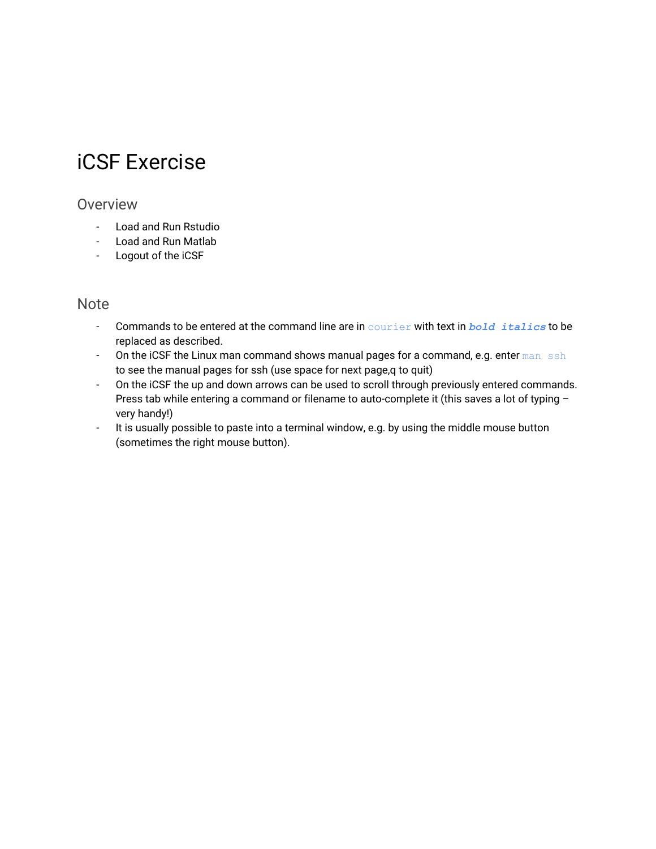# iCSF Exercise

#### Overview

- Load and Run Rstudio
- Load and Run Matlab
- Logout of the iCSF

#### **Note**

- Commands to be entered at the command line are in courier with text in *bold italics* to be replaced as described.
- On the iCSF the Linux man command shows manual pages for a command, e.g. enter man ssh to see the manual pages for ssh (use space for next page,q to quit)
- On the iCSF the up and down arrows can be used to scroll through previously entered commands. Press tab while entering a command or filename to auto-complete it (this saves a lot of typing – very handy!)
- It is usually possible to paste into a terminal window, e.g. by using the middle mouse button (sometimes the right mouse button).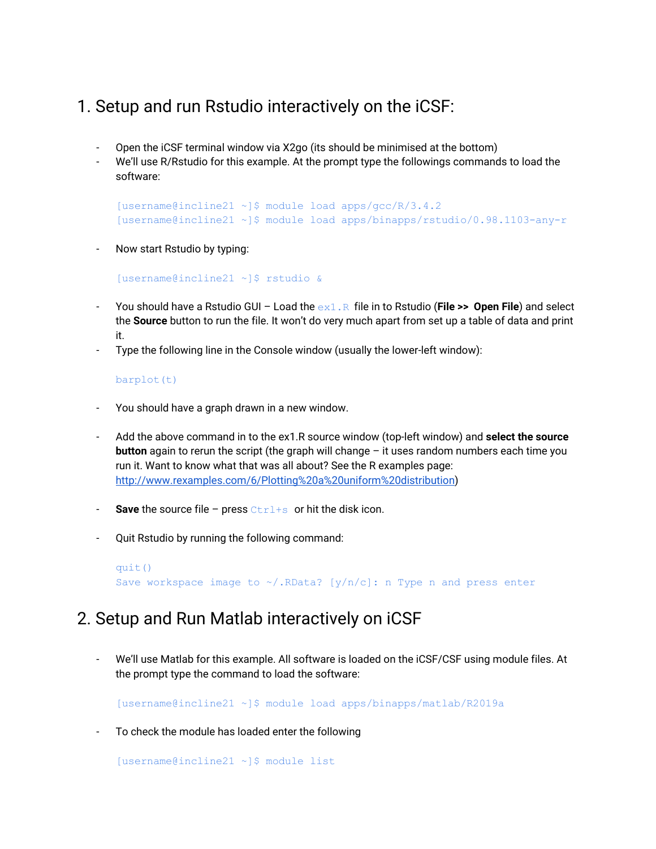## 1. Setup and run Rstudio interactively on the iCSF:

- Open the iCSF terminal window via X2go (its should be minimised at the bottom)
- We'll use R/Rstudio for this example. At the prompt type the followings commands to load the software:

[username@incline21 ~]\$ module load apps/gcc/R/3.4.2 [username@incline21 ~]\$ module load apps/binapps/rstudio/0.98.1103-any-r

Now start Rstudio by typing:

```
[username@incline21 ~]$ rstudio &
```
- You should have a Rstudio GUI Load the ex1.R file in to Rstudio (**File >> Open File**) and select the **Source** button to run the file. It won't do very much apart from set up a table of data and print it.
- Type the following line in the Console window (usually the lower-left window):

#### barplot(t)

- You should have a graph drawn in a new window.
- Add the above command in to the ex1.R source window (top-left window) and **select the source button** again to rerun the script (the graph will change – it uses random numbers each time you run it. Want to know what that was all about? See the R examples page: <http://www.rexamples.com/6/Plotting%20a%20uniform%20distribution>)
- **Save** the source file press Ctrl+s or hit the disk icon.
- Quit Rstudio by running the following command:

```
quit()
Save workspace image to \sim/. RData? [y/n/c]: n Type n and press enter
```
### 2. Setup and Run Matlab interactively on iCSF

We'll use Matlab for this example. All software is loaded on the iCSF/CSF using module files. At the prompt type the command to load the software:

[username@incline21 ~]\$ module load apps/binapps/matlab/R2019a

- To check the module has loaded enter the following

[username@incline21 ~]\$ module list